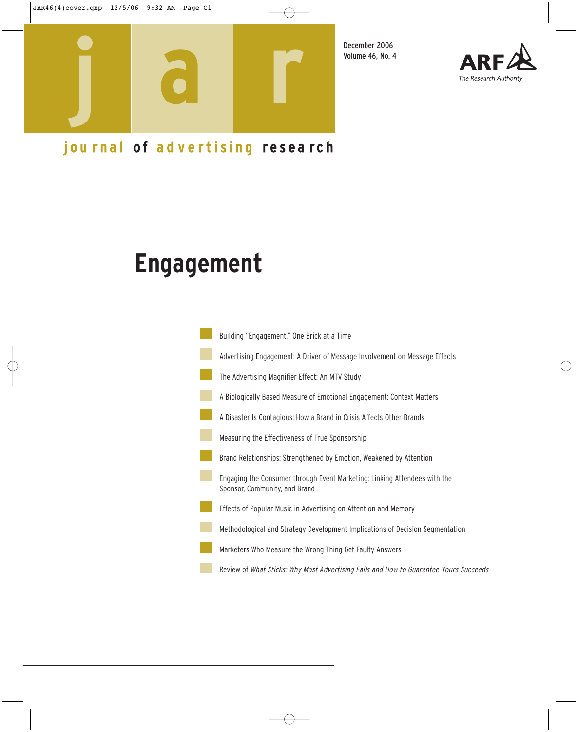

December 2006 Volume 46, No. 4



## journal of advertising research

# **Engagement**

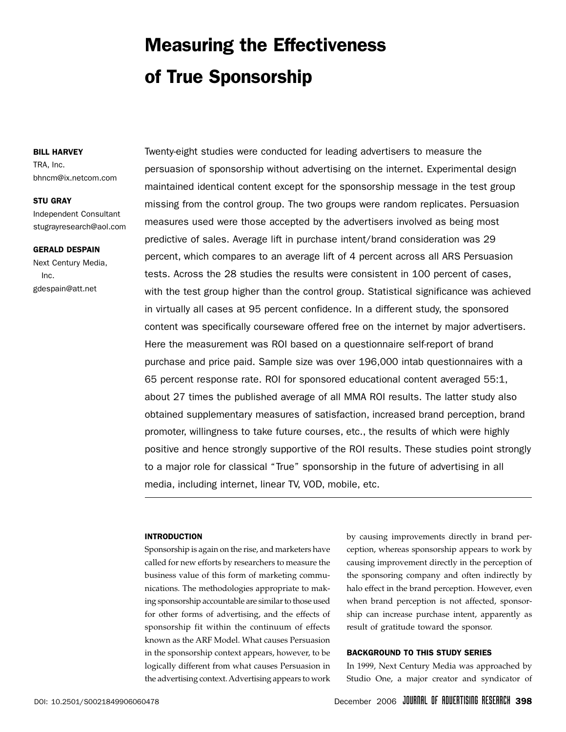## Measuring the Effectiveness of True Sponsorship

#### BILL HARVEY

TRA, Inc. bhncm@ix.netcom.com

#### STU GRAY

Independent Consultant stugrayresearch@aol.com

#### GERALD DESPAIN

Next Century Media, Inc. gdespain@att.net

Twenty-eight studies were conducted for leading advertisers to measure the persuasion of sponsorship without advertising on the internet. Experimental design maintained identical content except for the sponsorship message in the test group missing from the control group. The two groups were random replicates. Persuasion measures used were those accepted by the advertisers involved as being most predictive of sales. Average lift in purchase intent/brand consideration was 29 percent, which compares to an average lift of 4 percent across all ARS Persuasion tests. Across the 28 studies the results were consistent in 100 percent of cases, with the test group higher than the control group. Statistical significance was achieved in virtually all cases at 95 percent confidence. In a different study, the sponsored content was specifically courseware offered free on the internet by major advertisers. Here the measurement was ROI based on a questionnaire self-report of brand purchase and price paid. Sample size was over 196,000 intab questionnaires with a 65 percent response rate. ROI for sponsored educational content averaged 55:1, about 27 times the published average of all MMA ROI results. The latter study also obtained supplementary measures of satisfaction, increased brand perception, brand promoter, willingness to take future courses, etc., the results of which were highly positive and hence strongly supportive of the ROI results. These studies point strongly to a major role for classical "True" sponsorship in the future of advertising in all media, including internet, linear TV, VOD, mobile, etc.

#### INTRODUCTION

Sponsorship is again on the rise, and marketers have called for new efforts by researchers to measure the business value of this form of marketing communications. The methodologies appropriate to making sponsorship accountable are similar to those used for other forms of advertising, and the effects of sponsorship fit within the continuum of effects known as the ARF Model. What causes Persuasion in the sponsorship context appears, however, to be logically different from what causes Persuasion in the advertising context. Advertising appears to work

by causing improvements directly in brand perception, whereas sponsorship appears to work by causing improvement directly in the perception of the sponsoring company and often indirectly by halo effect in the brand perception. However, even when brand perception is not affected, sponsorship can increase purchase intent, apparently as result of gratitude toward the sponsor.

#### BACKGROUND TO THIS STUDY SERIES

In 1999, Next Century Media was approached by Studio One, a major creator and syndicator of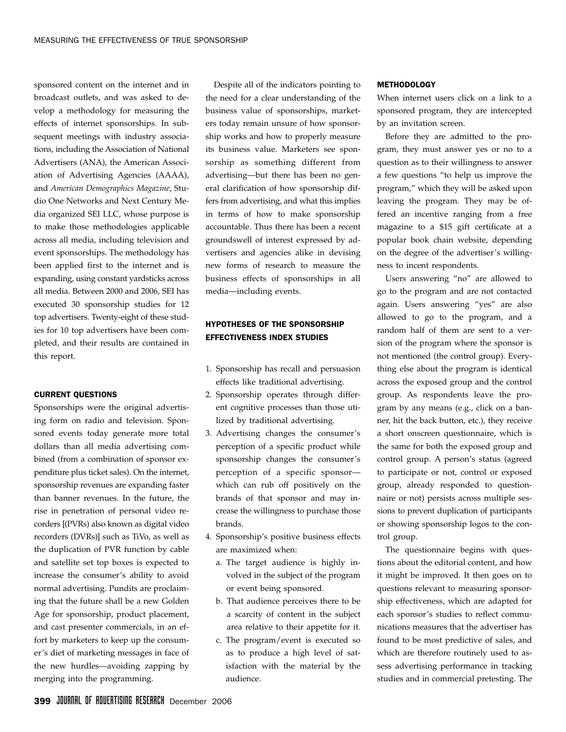sponsored content on the internet and in broadcast outlets, and was asked to develop a methodology for measuring the effects of internet sponsorships. In subsequent meetings with industry associations, including the Association of National Advertisers (ANA), the American Association of Advertising Agencies (AAAA), and *American Demographics Magazine*, Studio One Networks and Next Century Media organized SEI LLC, whose purpose is to make those methodologies applicable across all media, including television and event sponsorships. The methodology has been applied first to the internet and is expanding, using constant yardsticks across all media. Between 2000 and 2006, SEI has executed 30 sponsorship studies for 12 top advertisers. Twenty-eight of these studies for 10 top advertisers have been completed, and their results are contained in this report.

#### CURRENT QUESTIONS

Sponsorships were the original advertising form on radio and television. Sponsored events today generate more total dollars than all media advertising combined (from a combination of sponsor expenditure plus ticket sales). On the internet, sponsorship revenues are expanding faster than banner revenues. In the future, the rise in penetration of personal video recorders [(PVRs) also known as digital video recorders (DVRs)] such as TiVo, as well as the duplication of PVR function by cable and satellite set top boxes is expected to increase the consumer's ability to avoid normal advertising. Pundits are proclaiming that the future shall be a new Golden Age for sponsorship, product placement, and cast presenter commercials, in an effort by marketers to keep up the consumer's diet of marketing messages in face of the new hurdles—avoiding zapping by merging into the programming.

Despite all of the indicators pointing to the need for a clear understanding of the business value of sponsorships, marketers today remain unsure of how sponsorship works and how to properly measure its business value. Marketers see sponsorship as something different from advertising—but there has been no general clarification of how sponsorship differs from advertising, and what this implies in terms of how to make sponsorship accountable. Thus there has been a recent groundswell of interest expressed by advertisers and agencies alike in devising new forms of research to measure the business effects of sponsorships in all media—including events.

## HYPOTHESES OF THE SPONSORSHIP EFFECTIVENESS INDEX STUDIES

- 1. Sponsorship has recall and persuasion effects like traditional advertising.
- 2. Sponsorship operates through different cognitive processes than those utilized by traditional advertising.
- 3. Advertising changes the consumer's perception of a specific product while sponsorship changes the consumer's perception of a specific sponsor which can rub off positively on the brands of that sponsor and may increase the willingness to purchase those brands.
- 4. Sponsorship's positive business effects are maximized when:
	- a. The target audience is highly involved in the subject of the program or event being sponsored.
	- b. That audience perceives there to be a scarcity of content in the subject area relative to their appetite for it.
	- c. The program/event is executed so as to produce a high level of satisfaction with the material by the audience.

#### METHODOLOGY

When internet users click on a link to a sponsored program, they are intercepted by an invitation screen.

Before they are admitted to the program, they must answer yes or no to a question as to their willingness to answer a few questions "to help us improve the program," which they will be asked upon leaving the program. They may be offered an incentive ranging from a free magazine to a \$15 gift certificate at a popular book chain website, depending on the degree of the advertiser's willingness to incent respondents.

Users answering "no" are allowed to go to the program and are not contacted again. Users answering "yes" are also allowed to go to the program, and a random half of them are sent to a version of the program where the sponsor is not mentioned (the control group). Everything else about the program is identical across the exposed group and the control group. As respondents leave the program by any means (e.g., click on a banner, hit the back button, etc.), they receive a short onscreen questionnaire, which is the same for both the exposed group and control group. A person's status (agreed to participate or not, control or exposed group, already responded to questionnaire or not) persists across multiple sessions to prevent duplication of participants or showing sponsorship logos to the control group.

The questionnaire begins with questions about the editorial content, and how it might be improved. It then goes on to questions relevant to measuring sponsorship effectiveness, which are adapted for each sponsor's studies to reflect communications measures that the advertiser has found to be most predictive of sales, and which are therefore routinely used to assess advertising performance in tracking studies and in commercial pretesting. The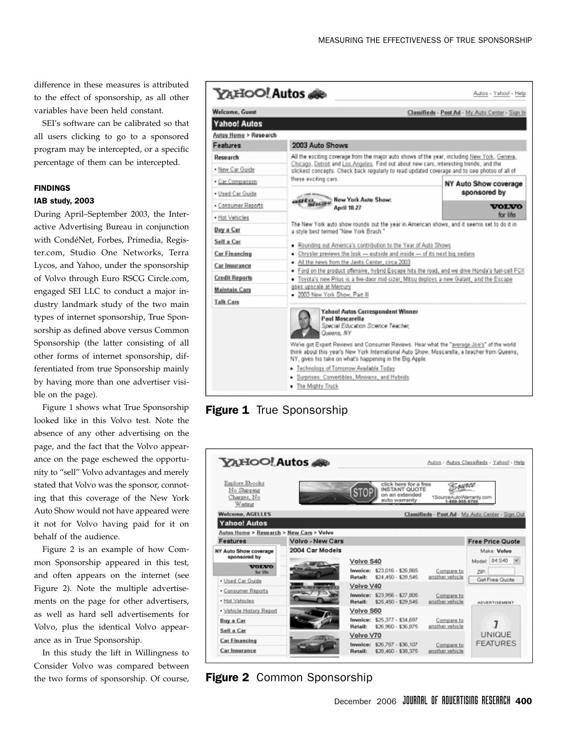difference in these measures is attributed to the effect of sponsorship, as all other variables have been held constant.

SEI's software can be calibrated so that all users clicking to go to a sponsored program may be intercepted, or a specific percentage of them can be intercepted.

#### FINDINGS

#### IAB study, 2003

During April–September 2003, the Interactive Advertising Bureau in conjunction with CondéNet, Forbes, Primedia, Register.com, Studio One Networks, Terra Lycos, and Yahoo, under the sponsorship of Volvo through Euro RSCG Circle.com, engaged SEI LLC to conduct a major industry landmark study of the two main types of internet sponsorship, True Sponsorship as defined above versus Common Sponsorship (the latter consisting of all other forms of internet sponsorship, differentiated from true Sponsorship mainly by having more than one advertiser visible on the page).

Figure 1 shows what True Sponsorship looked like in this Volvo test. Note the absence of any other advertising on the page, and the fact that the Volvo appearance on the page eschewed the opportunity to "sell" Volvo advantages and merely stated that Volvo was the sponsor, connoting that this coverage of the New York Auto Show would not have appeared were it not for Volvo having paid for it on behalf of the audience.

Figure 2 is an example of how Common Sponsorship appeared in this test, and often appears on the internet (see Figure 2). Note the multiple advertisements on the page for other advertisers, as well as hard sell advertisements for Volvo, plus the identical Volvo appearance as in True Sponsorship.

In this study the lift in Willingness to Consider Volvo was compared between the two forms of sponsorship. Of course,



**Figure 1** True Sponsorship



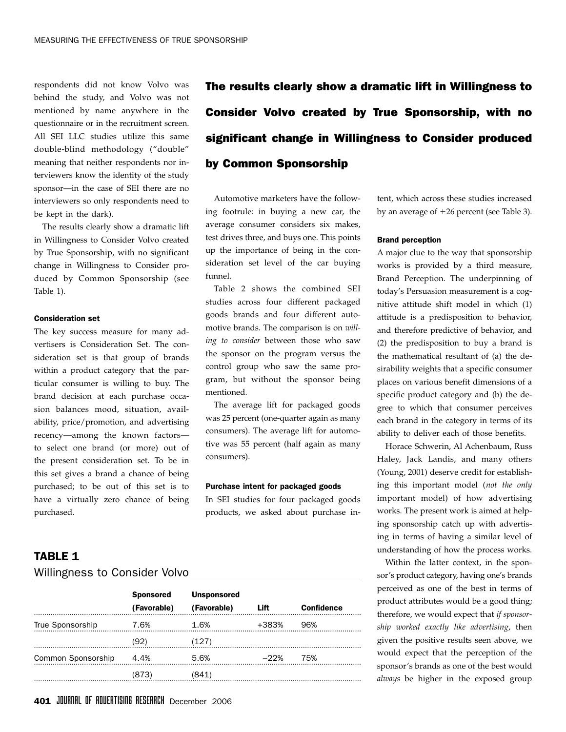respondents did not know Volvo was behind the study, and Volvo was not mentioned by name anywhere in the questionnaire or in the recruitment screen. All SEI LLC studies utilize this same double-blind methodology ("double" meaning that neither respondents nor interviewers know the identity of the study sponsor—in the case of SEI there are no interviewers so only respondents need to be kept in the dark).

The results clearly show a dramatic lift in Willingness to Consider Volvo created by True Sponsorship, with no significant change in Willingness to Consider produced by Common Sponsorship (see Table 1).

#### Consideration set

The key success measure for many advertisers is Consideration Set. The consideration set is that group of brands within a product category that the particular consumer is willing to buy. The brand decision at each purchase occasion balances mood, situation, availability, price/promotion, and advertising recency—among the known factors to select one brand (or more) out of the present consideration set. To be in this set gives a brand a chance of being purchased; to be out of this set is to have a virtually zero chance of being purchased.

The results clearly show a dramatic lift in Willingness to Consider Volvo created by True Sponsorship, with no significant change in Willingness to Consider produced by Common Sponsorship

Automotive marketers have the following footrule: in buying a new car, the average consumer considers six makes, test drives three, and buys one. This points up the importance of being in the consideration set level of the car buying funnel.

Table 2 shows the combined SEI studies across four different packaged goods brands and four different automotive brands. The comparison is on *willing to consider* between those who saw the sponsor on the program versus the control group who saw the same program, but without the sponsor being mentioned.

The average lift for packaged goods was 25 percent (one-quarter again as many consumers). The average lift for automotive was 55 percent (half again as many consumers).

#### Purchase intent for packaged goods

In SEI studies for four packaged goods products, we asked about purchase in-

## TABLE 1 Willingness to Consider Volvo

|                         |       | Sponsored Unsponsored<br>(Favorable) (Favorable) | <b>Example 1</b> | <b>Confidence</b> |  |
|-------------------------|-------|--------------------------------------------------|------------------|-------------------|--|
| True Sponsorship        |       | 7.6% 1.6%                                        | +383%  96%       |                   |  |
|                         | (92)  | (127)                                            |                  |                   |  |
| Common Sponsorship 4.4% |       | 5.6%                                             | $-22\%$ 75%      |                   |  |
|                         | (873) | (841)                                            |                  |                   |  |
|                         |       |                                                  |                  |                   |  |

tent, which across these studies increased by an average of  $+26$  percent (see Table 3).

#### Brand perception

A major clue to the way that sponsorship works is provided by a third measure, Brand Perception. The underpinning of today's Persuasion measurement is a cognitive attitude shift model in which (1) attitude is a predisposition to behavior, and therefore predictive of behavior, and (2) the predisposition to buy a brand is the mathematical resultant of (a) the desirability weights that a specific consumer places on various benefit dimensions of a specific product category and (b) the degree to which that consumer perceives each brand in the category in terms of its ability to deliver each of those benefits.

Horace Schwerin, Al Achenbaum, Russ Haley, Jack Landis, and many others (Young, 2001) deserve credit for establishing this important model (*not the only* important model) of how advertising works. The present work is aimed at helping sponsorship catch up with advertising in terms of having a similar level of understanding of how the process works.

Within the latter context, in the sponsor's product category, having one's brands perceived as one of the best in terms of product attributes would be a good thing; therefore, we would expect that *if sponsorship worked exactly like advertising*, then given the positive results seen above, we would expect that the perception of the sponsor's brands as one of the best would *always* be higher in the exposed group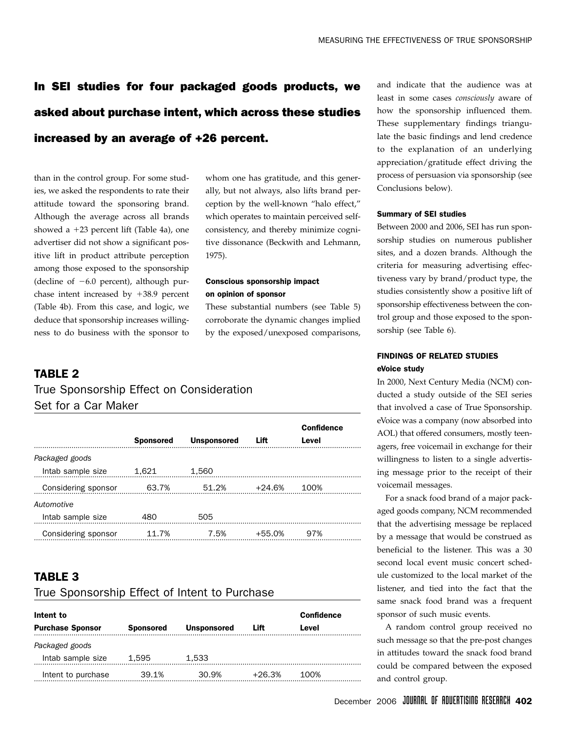## In SEI studies for four packaged goods products, we asked about purchase intent, which across these studies increased by an average of +26 percent.

than in the control group. For some studies, we asked the respondents to rate their attitude toward the sponsoring brand. Although the average across all brands showed a  $+23$  percent lift (Table 4a), one advertiser did not show a significant positive lift in product attribute perception among those exposed to the sponsorship (decline of  $-6.0$  percent), although purchase intent increased by  $+38.9$  percent (Table 4b). From this case, and logic, we deduce that sponsorship increases willingness to do business with the sponsor to

whom one has gratitude, and this generally, but not always, also lifts brand perception by the well-known "halo effect," which operates to maintain perceived selfconsistency, and thereby minimize cognitive dissonance (Beckwith and Lehmann, 1975).

### Conscious sponsorship impact on opinion of sponsor

These substantial numbers (see Table 5) corroborate the dynamic changes implied by the exposed/unexposed comparisons,

## TARI F 2

## True Sponsorship Effect on Consideration Set for a Car Maker

|                     | <b>Sponsored</b> | <b>Unsponsored</b> | Lift     | <b>Confidence</b><br>Level |  |
|---------------------|------------------|--------------------|----------|----------------------------|--|
| Packaged goods      |                  |                    |          |                            |  |
| Intab sample size   | 1.621            | 1.560              |          |                            |  |
| Considering sponsor | 63.7%            | 51.2%              | $+24.6%$ | 100%                       |  |
| Automotive          |                  |                    |          |                            |  |
| Intab sample size   | 480              | 505                |          |                            |  |
| Considering sponsor | 11 7%            | 7.5%               | $+55.0%$ | 97%                        |  |

## TABLE 3

#### True Sponsorship Effect of Intent to Purchase

| Intent to<br><b>Purchase Sponsor</b> | Confidence<br>Level |       |        |      |  |  |  |
|--------------------------------------|---------------------|-------|--------|------|--|--|--|
| Packaged goods                       |                     |       |        |      |  |  |  |
| Intab sample size                    | 1.595               | 1,533 |        |      |  |  |  |
| Intent to purchase                   | 39.1%               | 30.9% | +26.3% | 100% |  |  |  |

and indicate that the audience was at least in some cases *consciously* aware of how the sponsorship influenced them. These supplementary findings triangulate the basic findings and lend credence to the explanation of an underlying appreciation/gratitude effect driving the process of persuasion via sponsorship (see Conclusions below).

#### Summary of SEI studies

Between 2000 and 2006, SEI has run sponsorship studies on numerous publisher sites, and a dozen brands. Although the criteria for measuring advertising effectiveness vary by brand/product type, the studies consistently show a positive lift of sponsorship effectiveness between the control group and those exposed to the sponsorship (see Table 6).

### FINDINGS OF RELATED STUDIES eVoice study

In 2000, Next Century Media (NCM) conducted a study outside of the SEI series that involved a case of True Sponsorship. eVoice was a company (now absorbed into AOL) that offered consumers, mostly teenagers, free voicemail in exchange for their willingness to listen to a single advertising message prior to the receipt of their voicemail messages.

For a snack food brand of a major packaged goods company, NCM recommended that the advertising message be replaced by a message that would be construed as beneficial to the listener. This was a 30 second local event music concert schedule customized to the local market of the listener, and tied into the fact that the same snack food brand was a frequent sponsor of such music events.

A random control group received no such message so that the pre-post changes in attitudes toward the snack food brand could be compared between the exposed and control group.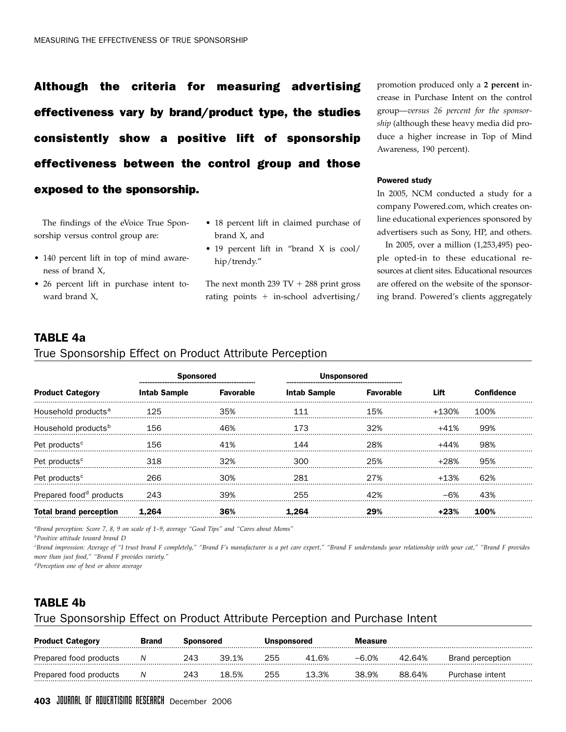Although the criteria for measuring advertising effectiveness vary by brand/product type, the studies consistently show a positive lift of sponsorship effectiveness between the control group and those exposed to the sponsorship.

The findings of the eVoice True Sponsorship versus control group are:

- 140 percent lift in top of mind awareness of brand X,
- 26 percent lift in purchase intent toward brand X,
- 18 percent lift in claimed purchase of brand X, and
- 19 percent lift in "brand X is cool/ hip/trendy."

The next month 239 TV  $+$  288 print gross rating points  $+$  in-school advertising/

promotion produced only a **2 percent** increase in Purchase Intent on the control group—*versus 26 percent for the sponsorship* (although these heavy media did produce a higher increase in Top of Mind Awareness, 190 percent).

#### Powered study

In 2005, NCM conducted a study for a company Powered.com, which creates online educational experiences sponsored by advertisers such as Sony, HP, and others.

In 2005, over a million (1,253,495) people opted-in to these educational resources at client sites. Educational resources are offered on the website of the sponsoring brand. Powered's clients aggregately

## TABLE 4a

#### True Sponsorship Effect on Product Attribute Perception

|                                     | <b>Sponsored</b>    |                  | <b>Unsponsored</b>  |                  |         |                   |
|-------------------------------------|---------------------|------------------|---------------------|------------------|---------|-------------------|
| <b>Product Category</b>             | <b>Intab Sample</b> | <b>Favorable</b> | <b>Intab Sample</b> | <b>Favorable</b> | Lift    | <b>Confidence</b> |
| Household products <sup>a</sup>     | 125                 | .35%             | 111                 | 15%              | +130%   | 100%              |
| Household products <sup>b</sup>     | 156                 | 46%              | 173                 | 32%              | +41%    | 99%               |
| Pet products <sup>c</sup>           | 156                 | 41%              | 144                 | 28%              | +44%    | 98%               |
| Pet products <sup>c</sup>           | 318                 | $.32\%$          | 300.                | 25%              | +28%    | 95%               |
| Pet products <sup>c</sup>           | 266                 | 30%              | 281                 | 27%              | $+1.3%$ | 62%               |
| Prepared food <sup>d</sup> products | 243                 | 39%              | 255                 | 42%              |         | 43%               |
| <b>Total brand perception</b>       | 1.264               |                  | 1.264               | 29%              | $+23%$  | 100%              |

*a Brand perception: Score 7, 8, 9 on scale of 1–9, average "Good Tips" and "Cares about Moms"*

*b Positive attitude toward brand D*

*c Brand impression: Average of "I trust brand F completely," "Brand F's manufacturer is a pet care expert," "Brand F understands your relationship with your cat," "Brand F provides more than just food," "Brand F provides variety."*

*d Perception one of best or above average*

## TABLE 4b

### True Sponsorship Effect on Product Attribute Perception and Purchase Intent

| <b>Product Category</b> | <b>Brand</b> | Sponsored |       | <b>Unsponsored</b> |       | <b>Measure</b> |        |                  |
|-------------------------|--------------|-----------|-------|--------------------|-------|----------------|--------|------------------|
| Prepared food products  |              | 243       | 39.1% | 255                | 41.6% | $-6.0\%$       | 42.64% | Brand perception |
| Prepared food products  |              | 243       | 18.5% | 255                | 13.3% | 38.9%          | 88.64% | Purchase intent  |

## 403 JOURNAL OF ADVERTISING RESEARCH December 2006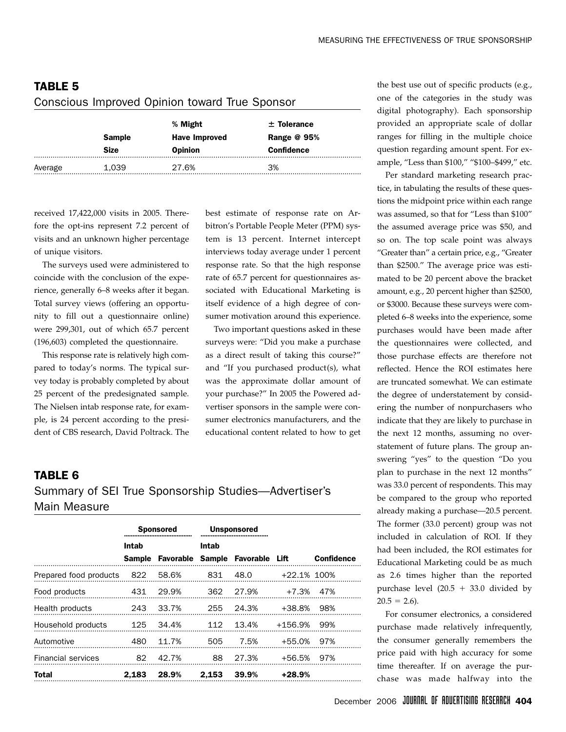|         | <b>Sample</b><br><b>Size</b> | % Might<br><b>Have Improved</b><br><b>Opinion</b> | $±$ Tolerance<br>Range $@$ 95%<br><b>Confidence</b> |
|---------|------------------------------|---------------------------------------------------|-----------------------------------------------------|
| Average | 1.039                        | 27.6%                                             | 3%                                                  |

## TABLE 5 Conscious Improved Opinion toward True Sponsor

received 17,422,000 visits in 2005. Therefore the opt-ins represent 7.2 percent of visits and an unknown higher percentage of unique visitors.

The surveys used were administered to coincide with the conclusion of the experience, generally 6–8 weeks after it began. Total survey views (offering an opportunity to fill out a questionnaire online) were 299,301, out of which 65.7 percent (196,603) completed the questionnaire.

This response rate is relatively high compared to today's norms. The typical survey today is probably completed by about 25 percent of the predesignated sample. The Nielsen intab response rate, for example, is 24 percent according to the president of CBS research, David Poltrack. The best estimate of response rate on Arbitron's Portable People Meter (PPM) system is 13 percent. Internet intercept interviews today average under 1 percent response rate. So that the high response rate of 65.7 percent for questionnaires associated with Educational Marketing is itself evidence of a high degree of consumer motivation around this experience.

Two important questions asked in these surveys were: "Did you make a purchase as a direct result of taking this course?" and "If you purchased product(s), what was the approximate dollar amount of your purchase?" In 2005 the Powered advertiser sponsors in the sample were consumer electronics manufacturers, and the educational content related to how to get

## TABLE 6 Summary of SEI True Sponsorship Studies—Advertiser's Main Measure

|                                  | <b>Sponsored</b> |       | <b>Unsponsored</b> |                                        |                |                   |
|----------------------------------|------------------|-------|--------------------|----------------------------------------|----------------|-------------------|
|                                  | Intab            |       | Intab              |                                        |                |                   |
|                                  |                  |       |                    | Sample Favorable Sample Favorable Lift |                | <b>Confidence</b> |
| Prepared food products 822 58.6% |                  |       | 831                | 48.0                                   | $+22.1\%$ 100% |                   |
| Food products                    | 431              | 29.9% | 362                | 27.9%                                  | $+7.3\%$ 47%   |                   |
| Health products                  | 243              | 33.7% | 255                | 24.3%                                  | +38.8% 98%     |                   |
| Household products               | 125              | 34.4% | 112                | 13.4%                                  | +156.9% 99%    |                   |
| Automotive                       | 480              | 11.7% | 505                | 7.5%                                   | $+55.0\%$ 97%  |                   |
| <b>Financial services</b>        | 82               | 42.7% | 88                 | 27.3%                                  | +56.5% 97%     |                   |
| Total                            | 2.183            | 28.9% | 2,153              | 39.9%                                  | +28.9%         |                   |

the best use out of specific products (e.g., one of the categories in the study was digital photography). Each sponsorship provided an appropriate scale of dollar ranges for filling in the multiple choice question regarding amount spent. For example, "Less than \$100," "\$100–\$499," etc.

Per standard marketing research practice, in tabulating the results of these questions the midpoint price within each range was assumed, so that for "Less than \$100" the assumed average price was \$50, and so on. The top scale point was always "Greater than" a certain price, e.g., "Greater than \$2500." The average price was estimated to be 20 percent above the bracket amount, e.g., 20 percent higher than \$2500, or \$3000. Because these surveys were completed 6–8 weeks into the experience, some purchases would have been made after the questionnaires were collected, and those purchase effects are therefore not reflected. Hence the ROI estimates here are truncated somewhat. We can estimate the degree of understatement by considering the number of nonpurchasers who indicate that they are likely to purchase in the next 12 months, assuming no overstatement of future plans. The group answering "yes" to the question "Do you plan to purchase in the next 12 months" was 33.0 percent of respondents. This may be compared to the group who reported already making a purchase—20.5 percent. The former (33.0 percent) group was not included in calculation of ROI. If they had been included, the ROI estimates for Educational Marketing could be as much as 2.6 times higher than the reported purchase level  $(20.5 + 33.0$  divided by  $20.5 = 2.6$ .

For consumer electronics, a considered purchase made relatively infrequently, the consumer generally remembers the price paid with high accuracy for some time thereafter. If on average the purchase was made halfway into the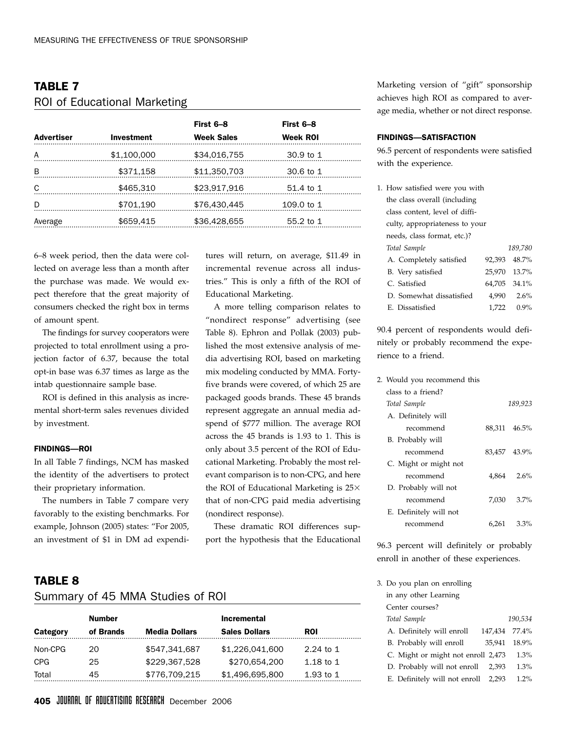## TABLE 7 ROI of Educational Marketing

| <b>Advertiser</b> | <b>Investment</b> | First 6-8<br><b>Week Sales</b> | First 6-8<br>Week ROI |  |
|-------------------|-------------------|--------------------------------|-----------------------|--|
| A                 | \$1,100,000       | \$34,016,755                   | 30.9 to 1             |  |
| B                 | \$371,158         | \$11,350,703                   | 30.6 to 1             |  |
| C                 | \$465,310         | \$23,917,916                   | 51.4 to 1             |  |
| Ð                 | \$701,190         | \$76,430,445                   | 109.0 to 1            |  |
| Average           | \$659,415         | \$36,428,655                   | 55.2 to 1             |  |

6–8 week period, then the data were collected on average less than a month after the purchase was made. We would expect therefore that the great majority of consumers checked the right box in terms of amount spent.

The findings for survey cooperators were projected to total enrollment using a projection factor of 6.37, because the total opt-in base was 6.37 times as large as the intab questionnaire sample base.

ROI is defined in this analysis as incremental short-term sales revenues divided by investment.

#### FINDINGS—ROI

In all Table 7 findings, NCM has masked the identity of the advertisers to protect their proprietary information.

The numbers in Table 7 compare very favorably to the existing benchmarks. For example, Johnson (2005) states: "For 2005, an investment of \$1 in DM ad expenditures will return, on average, \$11.49 in incremental revenue across all industries." This is only a fifth of the ROI of Educational Marketing.

A more telling comparison relates to "nondirect response" advertising (see Table 8). Ephron and Pollak (2003) published the most extensive analysis of media advertising ROI, based on marketing mix modeling conducted by MMA. Fortyfive brands were covered, of which 25 are packaged goods brands. These 45 brands represent aggregate an annual media adspend of \$777 million. The average ROI across the 45 brands is 1.93 to 1. This is only about 3.5 percent of the ROI of Educational Marketing. Probably the most relevant comparison is to non-CPG, and here the ROI of Educational Marketing is  $25\times$ that of non-CPG paid media advertising (nondirect response).

These dramatic ROI differences support the hypothesis that the Educational

## TABLE 8 Summary of 45 MMA Studies of ROI

|          | Number    |                      | <b>Incremental</b>   |             |
|----------|-----------|----------------------|----------------------|-------------|
| Category | of Brands | <b>Media Dollars</b> | <b>Sales Dollars</b> | <b>ROI</b>  |
| Non-CPG  | 20.       | \$547.341.687        | \$1,226,041,600      | 2.24 to 1   |
| CPG      | 25        | \$229,367,528        | \$270.654.200        | 1.18 to 1   |
| Total    | 45        | \$776,709,215        | \$1,496,695,800      | 1.93 to $1$ |

Marketing version of "gift" sponsorship achieves high ROI as compared to average media, whether or not direct response.

#### FINDINGS—SATISFACTION

96.5 percent of respondents were satisfied with the experience.

| 1. How satisfied were you with |        |              |
|--------------------------------|--------|--------------|
| the class overall (including   |        |              |
| class content, level of diffi- |        |              |
| culty, appropriateness to your |        |              |
| needs, class format, etc.)?    |        |              |
| Total Sample                   |        | 189.780      |
| A. Completely satisfied        | 92.393 | 48.7%        |
| B. Very satisfied              |        | 25,970 13.7% |
| C. Satisfied                   |        | 64,705 34.1% |
| D. Somewhat dissatisfied       | 4,990  | 2.6%         |
| E. Dissatisfied                | 1.722  | $0.9\%$      |

90.4 percent of respondents would definitely or probably recommend the experience to a friend.

| 2. Would you recommend this |       |                 |
|-----------------------------|-------|-----------------|
| class to a friend?          |       |                 |
| Total Sample                |       | 189,923         |
| A. Definitely will          |       |                 |
| recommend                   |       | 88.311 46.5%    |
| B. Probably will            |       |                 |
| recommend                   |       | 83.457 43.9%    |
| C. Might or might not       |       |                 |
| recommend                   |       | $4.864$ $2.6\%$ |
| D. Probably will not        |       |                 |
| recommend                   | 7,030 | 3.7%            |
| E. Definitely will not      |       |                 |
| recommend                   | 6,261 | 3.3%            |

96.3 percent will definitely or probably enroll in another of these experiences.

| 3. Do you plan on enrolling        |         |              |
|------------------------------------|---------|--------------|
| in any other Learning              |         |              |
| Center courses?                    |         |              |
| Total Sample                       |         | 190.534      |
| A. Definitely will enroll          | 147,434 | 77.4%        |
| B. Probably will enroll            |         | 35,941 18.9% |
| C. Might or might not enroll 2,473 |         | 1.3%         |
| D. Probably will not enroll        | 2.393   | 1.3%         |
| E. Definitely will not enroll      | 2.293   | 1.2%         |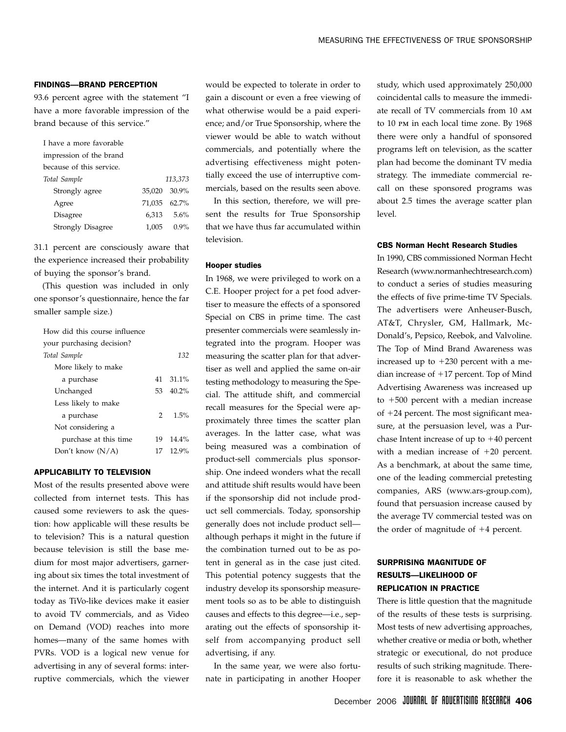#### FINDINGS—BRAND PERCEPTION

93.6 percent agree with the statement "I have a more favorable impression of the brand because of this service."

| I have a more favorable  |              |            |
|--------------------------|--------------|------------|
| impression of the brand  |              |            |
| because of this service. |              |            |
| Total Sample             |              | 113.373    |
| Strongly agree           | 35.020 30.9% |            |
| Agree                    | 71,035 62.7% |            |
| Disagree                 |              | 6,313 5.6% |
| <b>Strongly Disagree</b> |              | 1,005 0.9% |

31.1 percent are consciously aware that the experience increased their probability of buying the sponsor's brand.

(This question was included in only one sponsor's questionnaire, hence the far smaller sample size.)

| How did this course influence |               |          |
|-------------------------------|---------------|----------|
| your purchasing decision?     |               |          |
| Total Sample                  |               | 132      |
| More likely to make           |               |          |
| a purchase                    |               | 41 31.1% |
| Unchanged                     | 53.           | $40.2\%$ |
| Less likely to make           |               |          |
| a purchase                    | $\mathcal{P}$ | $1.5\%$  |
| Not considering a             |               |          |
| purchase at this time         | 19            | $14.4\%$ |
| Don't know $(N/A)$            | 17            | $12.9\%$ |

#### APPLICABILITY TO TELEVISION

Most of the results presented above were collected from internet tests. This has caused some reviewers to ask the question: how applicable will these results be to television? This is a natural question because television is still the base medium for most major advertisers, garnering about six times the total investment of the internet. And it is particularly cogent today as TiVo-like devices make it easier to avoid TV commercials, and as Video on Demand (VOD) reaches into more homes—many of the same homes with PVRs. VOD is a logical new venue for advertising in any of several forms: interruptive commercials, which the viewer

would be expected to tolerate in order to gain a discount or even a free viewing of what otherwise would be a paid experience; and/or True Sponsorship, where the viewer would be able to watch without commercials, and potentially where the advertising effectiveness might potentially exceed the use of interruptive commercials, based on the results seen above.

In this section, therefore, we will present the results for True Sponsorship that we have thus far accumulated within television.

#### Hooper studies

In 1968, we were privileged to work on a C.E. Hooper project for a pet food advertiser to measure the effects of a sponsored Special on CBS in prime time. The cast presenter commercials were seamlessly integrated into the program. Hooper was measuring the scatter plan for that advertiser as well and applied the same on-air testing methodology to measuring the Special. The attitude shift, and commercial recall measures for the Special were approximately three times the scatter plan averages. In the latter case, what was being measured was a combination of product-sell commercials plus sponsorship. One indeed wonders what the recall and attitude shift results would have been if the sponsorship did not include product sell commercials. Today, sponsorship generally does not include product sell although perhaps it might in the future if the combination turned out to be as potent in general as in the case just cited. This potential potency suggests that the industry develop its sponsorship measurement tools so as to be able to distinguish causes and effects to this degree—i.e., separating out the effects of sponsorship itself from accompanying product sell advertising, if any.

In the same year, we were also fortunate in participating in another Hooper study, which used approximately 250,000 coincidental calls to measure the immediate recall of TV commercials from 10 am to 10 pm in each local time zone. By 1968 there were only a handful of sponsored programs left on television, as the scatter plan had become the dominant TV media strategy. The immediate commercial recall on these sponsored programs was about 2.5 times the average scatter plan level.

#### CBS Norman Hecht Research Studies

In 1990, CBS commissioned Norman Hecht Research (www.normanhechtresearch.com) to conduct a series of studies measuring the effects of five prime-time TV Specials. The advertisers were Anheuser-Busch, AT&T, Chrysler, GM, Hallmark, Mc-Donald's, Pepsico, Reebok, and Valvoline. The Top of Mind Brand Awareness was increased up to  $+230$  percent with a median increase of  $+17$  percent. Top of Mind Advertising Awareness was increased up to  $+500$  percent with a median increase of  $+24$  percent. The most significant measure, at the persuasion level, was a Purchase Intent increase of up to  $+40$  percent with a median increase of  $+20$  percent. As a benchmark, at about the same time, one of the leading commercial pretesting companies, ARS (www.ars-group.com), found that persuasion increase caused by the average TV commercial tested was on the order of magnitude of  $+4$  percent.

## SURPRISING MAGNITUDE OF RESULTS—LIKELIHOOD OF REPLICATION IN PRACTICE

There is little question that the magnitude of the results of these tests is surprising. Most tests of new advertising approaches, whether creative or media or both, whether strategic or executional, do not produce results of such striking magnitude. Therefore it is reasonable to ask whether the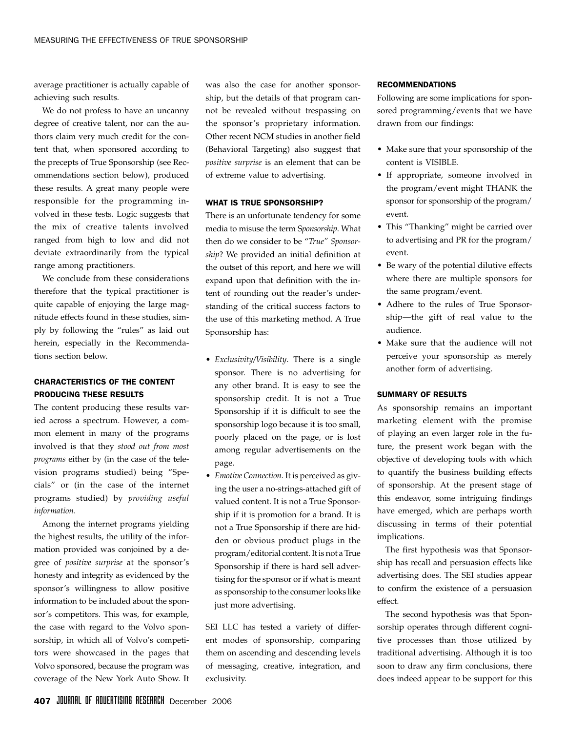average practitioner is actually capable of achieving such results.

We do not profess to have an uncanny degree of creative talent, nor can the authors claim very much credit for the content that, when sponsored according to the precepts of True Sponsorship (see Recommendations section below), produced these results. A great many people were responsible for the programming involved in these tests. Logic suggests that the mix of creative talents involved ranged from high to low and did not deviate extraordinarily from the typical range among practitioners.

We conclude from these considerations therefore that the typical practitioner is quite capable of enjoying the large magnitude effects found in these studies, simply by following the "rules" as laid out herein, especially in the Recommendations section below.

## CHARACTERISTICS OF THE CONTENT PRODUCING THESE RESULTS

The content producing these results varied across a spectrum. However, a common element in many of the programs involved is that they *stood out from most programs* either by (in the case of the television programs studied) being "Specials" or (in the case of the internet programs studied) by *providing useful information*.

Among the internet programs yielding the highest results, the utility of the information provided was conjoined by a degree of *positive surprise* at the sponsor's honesty and integrity as evidenced by the sponsor's willingness to allow positive information to be included about the sponsor's competitors. This was, for example, the case with regard to the Volvo sponsorship, in which all of Volvo's competitors were showcased in the pages that Volvo sponsored, because the program was coverage of the New York Auto Show. It

was also the case for another sponsorship, but the details of that program cannot be revealed without trespassing on the sponsor's proprietary information. Other recent NCM studies in another field (Behavioral Targeting) also suggest that *positive surprise* is an element that can be of extreme value to advertising.

#### WHAT IS TRUE SPONSORSHIP?

There is an unfortunate tendency for some media to misuse the term S*ponsorship*. What then do we consider to be "*True" Sponsorship*? We provided an initial definition at the outset of this report, and here we will expand upon that definition with the intent of rounding out the reader's understanding of the critical success factors to the use of this marketing method. A True Sponsorship has:

- *Exclusivity/Visibility*. There is a single sponsor. There is no advertising for any other brand. It is easy to see the sponsorship credit. It is not a True Sponsorship if it is difficult to see the sponsorship logo because it is too small, poorly placed on the page, or is lost among regular advertisements on the page.
- *Emotive Connection*. It is perceived as giving the user a no-strings-attached gift of valued content. It is not a True Sponsorship if it is promotion for a brand. It is not a True Sponsorship if there are hidden or obvious product plugs in the program/editorial content. It is not a True Sponsorship if there is hard sell advertising for the sponsor or if what is meant as sponsorship to the consumer looks like just more advertising.

SEI LLC has tested a variety of different modes of sponsorship, comparing them on ascending and descending levels of messaging, creative, integration, and exclusivity.

#### RECOMMENDATIONS

Following are some implications for sponsored programming/events that we have drawn from our findings:

- Make sure that your sponsorship of the content is VISIBLE.
- If appropriate, someone involved in the program/event might THANK the sponsor for sponsorship of the program/ event.
- This "Thanking" might be carried over to advertising and PR for the program/ event.
- Be wary of the potential dilutive effects where there are multiple sponsors for the same program/event.
- Adhere to the rules of True Sponsorship—the gift of real value to the audience.
- Make sure that the audience will not perceive your sponsorship as merely another form of advertising.

#### SUMMARY OF RESULTS

As sponsorship remains an important marketing element with the promise of playing an even larger role in the future, the present work began with the objective of developing tools with which to quantify the business building effects of sponsorship. At the present stage of this endeavor, some intriguing findings have emerged, which are perhaps worth discussing in terms of their potential implications.

The first hypothesis was that Sponsorship has recall and persuasion effects like advertising does. The SEI studies appear to confirm the existence of a persuasion effect.

The second hypothesis was that Sponsorship operates through different cognitive processes than those utilized by traditional advertising. Although it is too soon to draw any firm conclusions, there does indeed appear to be support for this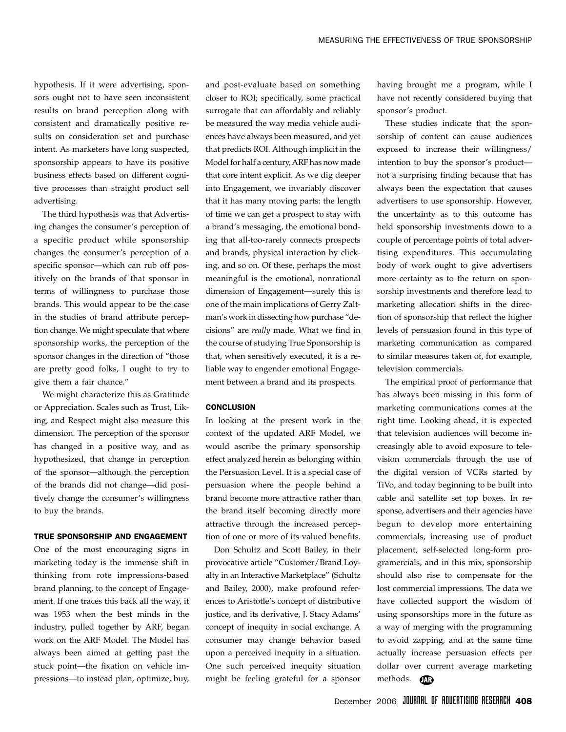hypothesis. If it were advertising, sponsors ought not to have seen inconsistent results on brand perception along with consistent and dramatically positive results on consideration set and purchase intent. As marketers have long suspected, sponsorship appears to have its positive business effects based on different cognitive processes than straight product sell advertising.

The third hypothesis was that Advertising changes the consumer's perception of a specific product while sponsorship changes the consumer's perception of a specific sponsor—which can rub off positively on the brands of that sponsor in terms of willingness to purchase those brands. This would appear to be the case in the studies of brand attribute perception change. We might speculate that where sponsorship works, the perception of the sponsor changes in the direction of "those are pretty good folks, I ought to try to give them a fair chance."

We might characterize this as Gratitude or Appreciation. Scales such as Trust, Liking, and Respect might also measure this dimension. The perception of the sponsor has changed in a positive way, and as hypothesized, that change in perception of the sponsor—although the perception of the brands did not change—did positively change the consumer's willingness to buy the brands.

#### TRUE SPONSORSHIP AND ENGAGEMENT

One of the most encouraging signs in marketing today is the immense shift in thinking from rote impressions-based brand planning, to the concept of Engagement. If one traces this back all the way, it was 1953 when the best minds in the industry, pulled together by ARF, began work on the ARF Model. The Model has always been aimed at getting past the stuck point—the fixation on vehicle impressions—to instead plan, optimize, buy,

and post-evaluate based on something closer to ROI; specifically, some practical surrogate that can affordably and reliably be measured the way media vehicle audiences have always been measured, and yet that predicts ROI. Although implicit in the Model for half a century, ARF has now made that core intent explicit. As we dig deeper into Engagement, we invariably discover that it has many moving parts: the length of time we can get a prospect to stay with a brand's messaging, the emotional bonding that all-too-rarely connects prospects and brands, physical interaction by clicking, and so on. Of these, perhaps the most meaningful is the emotional, nonrational dimension of Engagement—surely this is one of the main implications of Gerry Zaltman's work in dissecting how purchase "decisions" are *really* made. What we find in the course of studying True Sponsorship is that, when sensitively executed, it is a reliable way to engender emotional Engagement between a brand and its prospects.

#### **CONCLUSION**

In looking at the present work in the context of the updated ARF Model, we would ascribe the primary sponsorship effect analyzed herein as belonging within the Persuasion Level. It is a special case of persuasion where the people behind a brand become more attractive rather than the brand itself becoming directly more attractive through the increased perception of one or more of its valued benefits.

Don Schultz and Scott Bailey, in their provocative article "Customer/Brand Loyalty in an Interactive Marketplace" (Schultz and Bailey, 2000), make profound references to Aristotle's concept of distributive justice, and its derivative, J. Stacy Adams' concept of inequity in social exchange. A consumer may change behavior based upon a perceived inequity in a situation. One such perceived inequity situation might be feeling grateful for a sponsor having brought me a program, while I have not recently considered buying that sponsor's product.

These studies indicate that the sponsorship of content can cause audiences exposed to increase their willingness/ intention to buy the sponsor's product not a surprising finding because that has always been the expectation that causes advertisers to use sponsorship. However, the uncertainty as to this outcome has held sponsorship investments down to a couple of percentage points of total advertising expenditures. This accumulating body of work ought to give advertisers more certainty as to the return on sponsorship investments and therefore lead to marketing allocation shifts in the direction of sponsorship that reflect the higher levels of persuasion found in this type of marketing communication as compared to similar measures taken of, for example, television commercials.

The empirical proof of performance that has always been missing in this form of marketing communications comes at the right time. Looking ahead, it is expected that television audiences will become increasingly able to avoid exposure to television commercials through the use of the digital version of VCRs started by TiVo, and today beginning to be built into cable and satellite set top boxes. In response, advertisers and their agencies have begun to develop more entertaining commercials, increasing use of product placement, self-selected long-form programercials, and in this mix, sponsorship should also rise to compensate for the lost commercial impressions. The data we have collected support the wisdom of using sponsorships more in the future as a way of merging with the programming to avoid zapping, and at the same time actually increase persuasion effects per dollar over current average marketing methods. **m**